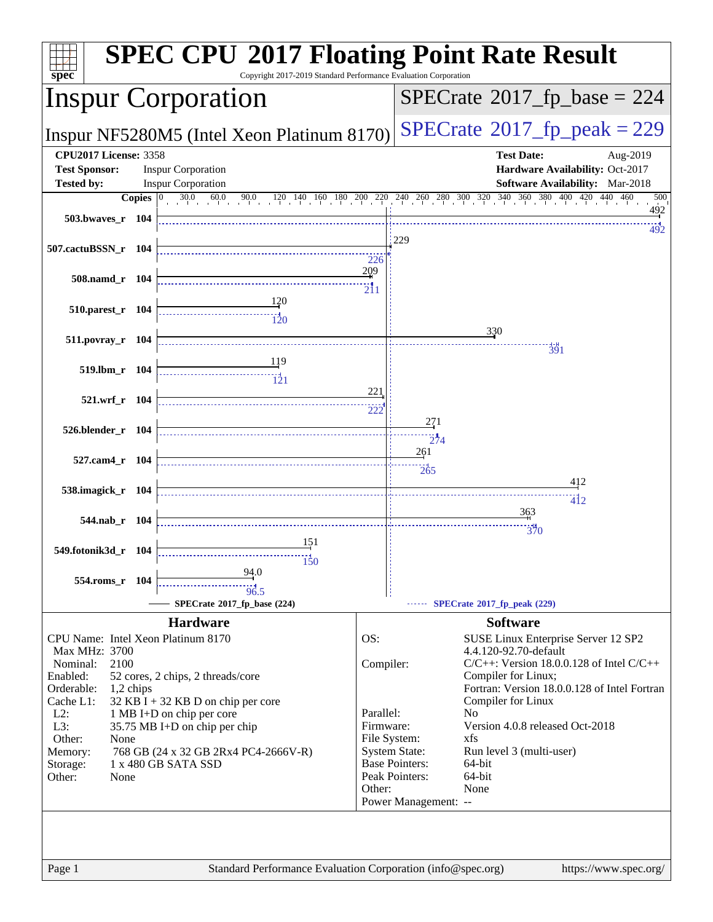| $spec*$                                              | <b>SPEC CPU®2017 Floating Point Rate Result</b><br>Copyright 2017-2019 Standard Performance Evaluation Corporation                                                         |                                               |                                                                        |
|------------------------------------------------------|----------------------------------------------------------------------------------------------------------------------------------------------------------------------------|-----------------------------------------------|------------------------------------------------------------------------|
|                                                      | <b>Inspur Corporation</b>                                                                                                                                                  |                                               | $SPECrate^{\circ}2017$ fp base = 224                                   |
|                                                      | Inspur NF5280M5 (Intel Xeon Platinum 8170)                                                                                                                                 |                                               | $SPECTate@2017_fp\_peak = 229$                                         |
| <b>CPU2017 License: 3358</b><br><b>Test Sponsor:</b> | <b>Inspur Corporation</b>                                                                                                                                                  |                                               | <b>Test Date:</b><br>Aug-2019<br>Hardware Availability: Oct-2017       |
| <b>Tested by:</b>                                    | <b>Inspur Corporation</b>                                                                                                                                                  |                                               | Software Availability: Mar-2018<br>500                                 |
| 503.bwayes $r$ 104                                   | <b>Copies</b> $\begin{bmatrix} 0 & 30.0 & 60.0 & 90.0 & 120 & 140 & 160 & 180 & 200 & 220 & 240 & 260 & 300 & 320 & 340 & 360 & 380 & 400 & 420 & 440 & 460 \end{bmatrix}$ |                                               | 492                                                                    |
| $507$ .cactuBSSN_r 104                               |                                                                                                                                                                            | 229                                           | 492                                                                    |
| 508.namd_r 104                                       |                                                                                                                                                                            | 226<br>209                                    |                                                                        |
| 510.parest_r 104                                     |                                                                                                                                                                            |                                               |                                                                        |
| 511.povray_r 104                                     |                                                                                                                                                                            |                                               | 330<br>391                                                             |
| 519.lbm_r 104                                        | <u> 119</u>                                                                                                                                                                |                                               |                                                                        |
| 521.wrf_r 104                                        |                                                                                                                                                                            | 221                                           |                                                                        |
| 526.blender_r 104                                    |                                                                                                                                                                            | 271<br>274                                    |                                                                        |
| 527.cam4 r 104                                       |                                                                                                                                                                            | 261<br>$\frac{11}{265}$                       |                                                                        |
| 538.imagick_r 104                                    |                                                                                                                                                                            |                                               | 412<br>$\overline{412}$                                                |
| 544.nab_r 104                                        |                                                                                                                                                                            |                                               | 363<br>370                                                             |
| 549.fotonik3d_r 104                                  | 151<br>150                                                                                                                                                                 |                                               |                                                                        |
| 554.roms r 104                                       | 94.0<br>$\frac{11}{96.5}$                                                                                                                                                  |                                               |                                                                        |
|                                                      | SPECrate®2017 fp base (224)                                                                                                                                                |                                               | SPECrate®2017_fp_peak (229)                                            |
|                                                      | <b>Hardware</b><br>CPU Name: Intel Xeon Platinum 8170                                                                                                                      | OS:                                           | <b>Software</b><br>SUSE Linux Enterprise Server 12 SP2                 |
| Max MHz: 3700<br>Nominal:<br>2100                    |                                                                                                                                                                            | Compiler:                                     | 4.4.120-92.70-default<br>$C/C++$ : Version 18.0.0.128 of Intel $C/C++$ |
| Enabled:                                             | 52 cores, 2 chips, 2 threads/core                                                                                                                                          |                                               | Compiler for Linux;                                                    |
| Orderable:                                           | 1,2 chips                                                                                                                                                                  |                                               | Fortran: Version 18.0.0.128 of Intel Fortran                           |
| Cache L1:<br>$L2$ :                                  | $32$ KB I + 32 KB D on chip per core<br>1 MB I+D on chip per core                                                                                                          | Parallel:                                     | Compiler for Linux<br>N <sub>o</sub>                                   |
| L3:                                                  | 35.75 MB I+D on chip per chip                                                                                                                                              | Firmware:                                     | Version 4.0.8 released Oct-2018                                        |
| Other:<br>None                                       |                                                                                                                                                                            | File System:                                  | xfs                                                                    |
| Memory:<br>Storage:                                  | 768 GB (24 x 32 GB 2Rx4 PC4-2666V-R)<br>1 x 480 GB SATA SSD                                                                                                                | <b>System State:</b><br><b>Base Pointers:</b> | Run level 3 (multi-user)<br>64-bit                                     |
| Other:<br>None                                       |                                                                                                                                                                            | Peak Pointers:                                | 64-bit                                                                 |
|                                                      |                                                                                                                                                                            | Other:<br>Power Management: --                | None                                                                   |
|                                                      |                                                                                                                                                                            |                                               |                                                                        |
| Page 1                                               | Standard Performance Evaluation Corporation (info@spec.org)                                                                                                                |                                               | https://www.spec.org/                                                  |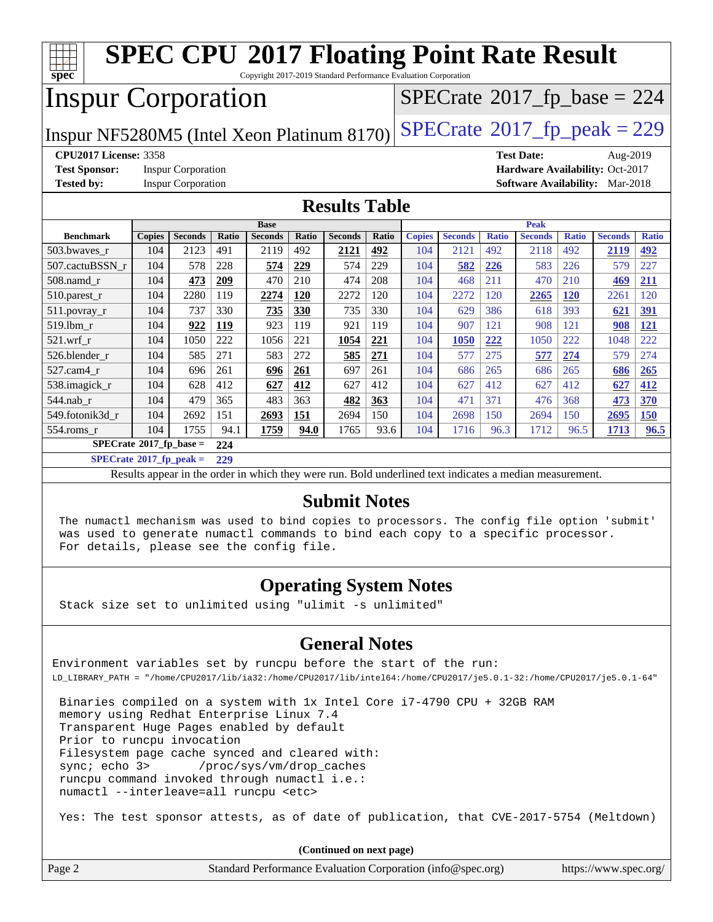| $spec^*$                                   |               |                           |       | <b>SPEC CPU®2017 Floating Point Rate Result</b><br>Copyright 2017-2019 Standard Performance Evaluation Corporation |       |                      |              |               |                |              |                               |              |                                            |              |
|--------------------------------------------|---------------|---------------------------|-------|--------------------------------------------------------------------------------------------------------------------|-------|----------------------|--------------|---------------|----------------|--------------|-------------------------------|--------------|--------------------------------------------|--------------|
| <b>Inspur Corporation</b>                  |               |                           |       |                                                                                                                    |       |                      |              |               |                |              |                               |              | $SPECTate$ <sup>®</sup> 2017_fp_base = 224 |              |
| Inspur NF5280M5 (Intel Xeon Platinum 8170) |               |                           |       |                                                                                                                    |       |                      |              |               |                |              |                               |              | $SPECTate@2017_fp\_peak = 229$             |              |
| <b>CPU2017 License: 3358</b>               |               |                           |       |                                                                                                                    |       |                      |              |               |                |              | <b>Test Date:</b>             |              | Aug-2019                                   |              |
| <b>Test Sponsor:</b>                       |               | <b>Inspur Corporation</b> |       |                                                                                                                    |       |                      |              |               |                |              |                               |              | Hardware Availability: Oct-2017            |              |
| <b>Tested by:</b>                          |               | <b>Inspur Corporation</b> |       |                                                                                                                    |       |                      |              |               |                |              | <b>Software Availability:</b> |              | Mar-2018                                   |              |
|                                            |               |                           |       |                                                                                                                    |       | <b>Results Table</b> |              |               |                |              |                               |              |                                            |              |
|                                            |               |                           |       | <b>Base</b>                                                                                                        |       |                      |              |               |                |              | Peak                          |              |                                            |              |
| <b>Benchmark</b>                           | <b>Copies</b> | <b>Seconds</b>            | Ratio | <b>Seconds</b>                                                                                                     | Ratio | <b>Seconds</b>       | <b>Ratio</b> | <b>Copies</b> | <b>Seconds</b> | <b>Ratio</b> | <b>Seconds</b>                | <b>Ratio</b> | <b>Seconds</b>                             | <b>Ratio</b> |
| 503.bwaves_r                               | 104           | 2123                      | 491   | 2119                                                                                                               | 492   | 2121                 | 492          | 104           | 2121           | 492          | 2118                          | 492          | 2119                                       | 492          |
| 507.cactuBSSN r                            | 104           | 578                       | 228   | 574                                                                                                                | 229   | 574                  | 229          | 104           | 582            | 226          | 583                           | 226          | 579                                        | 227          |
| 508.namd r                                 | 104           | 473                       | 209   | 470                                                                                                                | 210   | 474                  | 208          | 104           | 468            | 211          | 470                           | 210          | 469                                        | 211          |
| $510.parest_r$                             | 104           | 2280                      | 119   | 2274                                                                                                               | 120   | 2272                 | 120          | 104           | 2272           | 120          | 2265                          | <b>120</b>   | 2261                                       | 120          |
| 511.povray_r                               | 104           | 737                       | 330   | 735                                                                                                                | 330   | 735                  | 330          | 104           | 629            | 386          | 618                           | 393          | 621                                        | 391          |
| 519.lbm r                                  | 104           | 922                       | 119   | 923                                                                                                                | 119   | 921                  | 119          | 104           | 907            | 121          | 908                           | 121          | 908                                        | 121          |
| $521$ .wrf r                               | 104           | 1050                      | 222   | 1056                                                                                                               | 221   | 1054                 | 221          | 104           | 1050           | 222          | 1050                          | 222          | 1048                                       | 222          |
| 526.blender r                              | 104           | 585                       | 271   | 583                                                                                                                | 272   | 585                  | 271          | 104           | 577            | 275          | 577                           | 274          | 579                                        | 274          |
| 527.cam4 r                                 | 104           | 696                       | 261   | 696                                                                                                                | 261   | 697                  | 261          | 104           | 686            | 265          | 686                           | 265          | 686                                        | 265          |
| 538.imagick_r                              | 104           | 628                       | 412   | 627                                                                                                                | 412   | 627                  | 412          | 104           | 627            | 412          | 627                           | 412          | 627                                        | 412          |
| 544.nab r                                  | 104           | 479                       | 365   | 483                                                                                                                | 363   | 482                  | 363          | 104           | 471            | 371          | 476                           | 368          | 473                                        | 370          |
| 549.fotonik3d_r                            | 104           | 2692                      | 151   | 2693                                                                                                               | 151   | 2694                 | 150          | 104           | 2698           | 150          | 2694                          | 150          | 2695                                       | 150          |
| 554.roms r                                 | 104           | 1755                      | 94.1  | 1759                                                                                                               | 94.0  | 1765                 | 93.6         | 104           | 1716           | 96.3         | 1712                          | 96.5         | 1713                                       | 96.5         |
| $SPECrate*2017_fp\_base =$                 |               |                           | 224   |                                                                                                                    |       |                      |              |               |                |              |                               |              |                                            |              |
| $SPECrate^{\circ}2017$ _fp_peak =          |               |                           | 229   |                                                                                                                    |       |                      |              |               |                |              |                               |              |                                            |              |

Results appear in the [order in which they were run.](http://www.spec.org/auto/cpu2017/Docs/result-fields.html#RunOrder) Bold underlined text [indicates a median measurement.](http://www.spec.org/auto/cpu2017/Docs/result-fields.html#Median)

#### **[Submit Notes](http://www.spec.org/auto/cpu2017/Docs/result-fields.html#SubmitNotes)**

 The numactl mechanism was used to bind copies to processors. The config file option 'submit' was used to generate numactl commands to bind each copy to a specific processor. For details, please see the config file.

#### **[Operating System Notes](http://www.spec.org/auto/cpu2017/Docs/result-fields.html#OperatingSystemNotes)**

Stack size set to unlimited using "ulimit -s unlimited"

#### **[General Notes](http://www.spec.org/auto/cpu2017/Docs/result-fields.html#GeneralNotes)**

Environment variables set by runcpu before the start of the run: LD\_LIBRARY\_PATH = "/home/CPU2017/lib/ia32:/home/CPU2017/lib/intel64:/home/CPU2017/je5.0.1-32:/home/CPU2017/je5.0.1-64"

 Binaries compiled on a system with 1x Intel Core i7-4790 CPU + 32GB RAM memory using Redhat Enterprise Linux 7.4 Transparent Huge Pages enabled by default Prior to runcpu invocation Filesystem page cache synced and cleared with: sync; echo 3> /proc/sys/vm/drop\_caches runcpu command invoked through numactl i.e.: numactl --interleave=all runcpu <etc>

Yes: The test sponsor attests, as of date of publication, that CVE-2017-5754 (Meltdown)

**(Continued on next page)**

| Page 2 | Standard Performance Evaluation Corporation (info@spec.org) | https://www.spec.org/ |
|--------|-------------------------------------------------------------|-----------------------|
|--------|-------------------------------------------------------------|-----------------------|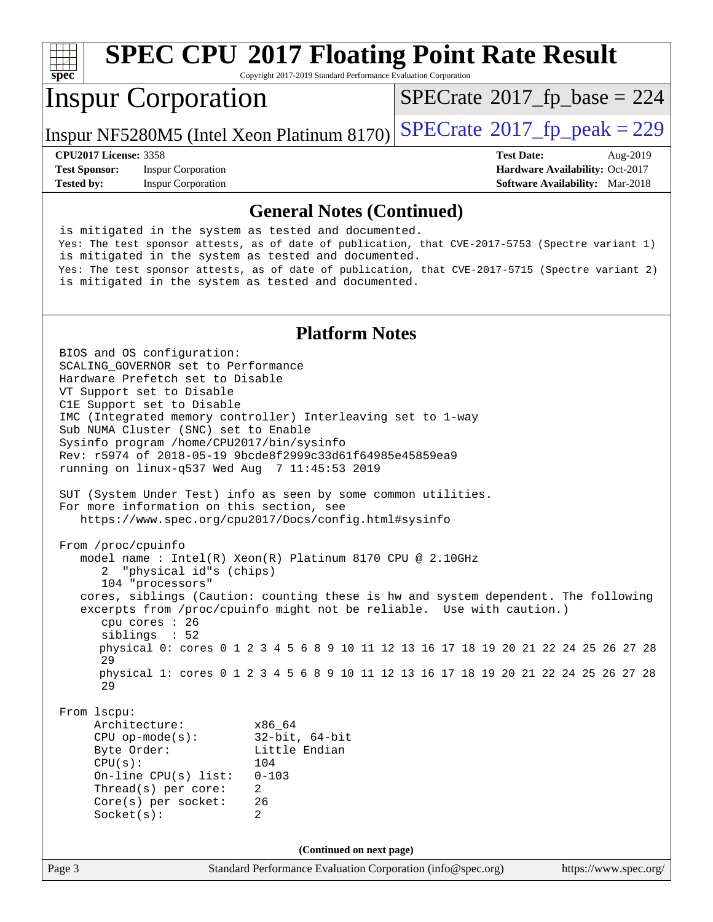

# **[SPEC CPU](http://www.spec.org/auto/cpu2017/Docs/result-fields.html#SPECCPU2017FloatingPointRateResult)[2017 Floating Point Rate Result](http://www.spec.org/auto/cpu2017/Docs/result-fields.html#SPECCPU2017FloatingPointRateResult)**

Copyright 2017-2019 Standard Performance Evaluation Corporation

### Inspur Corporation

 $SPECTate$ <sup>®</sup>[2017\\_fp\\_base =](http://www.spec.org/auto/cpu2017/Docs/result-fields.html#SPECrate2017fpbase) 224

Inspur NF5280M5 (Intel Xeon Platinum 8170)  $\text{SPECrate}^{\circ}2017$  $\text{SPECrate}^{\circ}2017$  $\text{SPECrate}^{\circ}2017$  fp peak = 229

**[Test Sponsor:](http://www.spec.org/auto/cpu2017/Docs/result-fields.html#TestSponsor)** Inspur Corporation **[Hardware Availability:](http://www.spec.org/auto/cpu2017/Docs/result-fields.html#HardwareAvailability)** Oct-2017 **[Tested by:](http://www.spec.org/auto/cpu2017/Docs/result-fields.html#Testedby)** Inspur Corporation **[Software Availability:](http://www.spec.org/auto/cpu2017/Docs/result-fields.html#SoftwareAvailability)** Mar-2018

**[CPU2017 License:](http://www.spec.org/auto/cpu2017/Docs/result-fields.html#CPU2017License)** 3358 **[Test Date:](http://www.spec.org/auto/cpu2017/Docs/result-fields.html#TestDate)** Aug-2019

#### **[General Notes \(Continued\)](http://www.spec.org/auto/cpu2017/Docs/result-fields.html#GeneralNotes)**

 is mitigated in the system as tested and documented. Yes: The test sponsor attests, as of date of publication, that CVE-2017-5753 (Spectre variant 1) is mitigated in the system as tested and documented. Yes: The test sponsor attests, as of date of publication, that CVE-2017-5715 (Spectre variant 2) is mitigated in the system as tested and documented.

#### **[Platform Notes](http://www.spec.org/auto/cpu2017/Docs/result-fields.html#PlatformNotes)**

Page 3 Standard Performance Evaluation Corporation [\(info@spec.org\)](mailto:info@spec.org) <https://www.spec.org/> BIOS and OS configuration: SCALING\_GOVERNOR set to Performance Hardware Prefetch set to Disable VT Support set to Disable C1E Support set to Disable IMC (Integrated memory controller) Interleaving set to 1-way Sub NUMA Cluster (SNC) set to Enable Sysinfo program /home/CPU2017/bin/sysinfo Rev: r5974 of 2018-05-19 9bcde8f2999c33d61f64985e45859ea9 running on linux-q537 Wed Aug 7 11:45:53 2019 SUT (System Under Test) info as seen by some common utilities. For more information on this section, see <https://www.spec.org/cpu2017/Docs/config.html#sysinfo> From /proc/cpuinfo model name : Intel(R) Xeon(R) Platinum 8170 CPU @ 2.10GHz 2 "physical id"s (chips) 104 "processors" cores, siblings (Caution: counting these is hw and system dependent. The following excerpts from /proc/cpuinfo might not be reliable. Use with caution.) cpu cores : 26 siblings : 52 physical 0: cores 0 1 2 3 4 5 6 8 9 10 11 12 13 16 17 18 19 20 21 22 24 25 26 27 28 29 physical 1: cores 0 1 2 3 4 5 6 8 9 10 11 12 13 16 17 18 19 20 21 22 24 25 26 27 28 29 From lscpu: Architecture: x86\_64 CPU op-mode(s): 32-bit, 64-bit Little Endian CPU(s): 104 On-line CPU(s) list: 0-103 Thread(s) per core: 2 Core(s) per socket: 26 Socket(s): 2 **(Continued on next page)**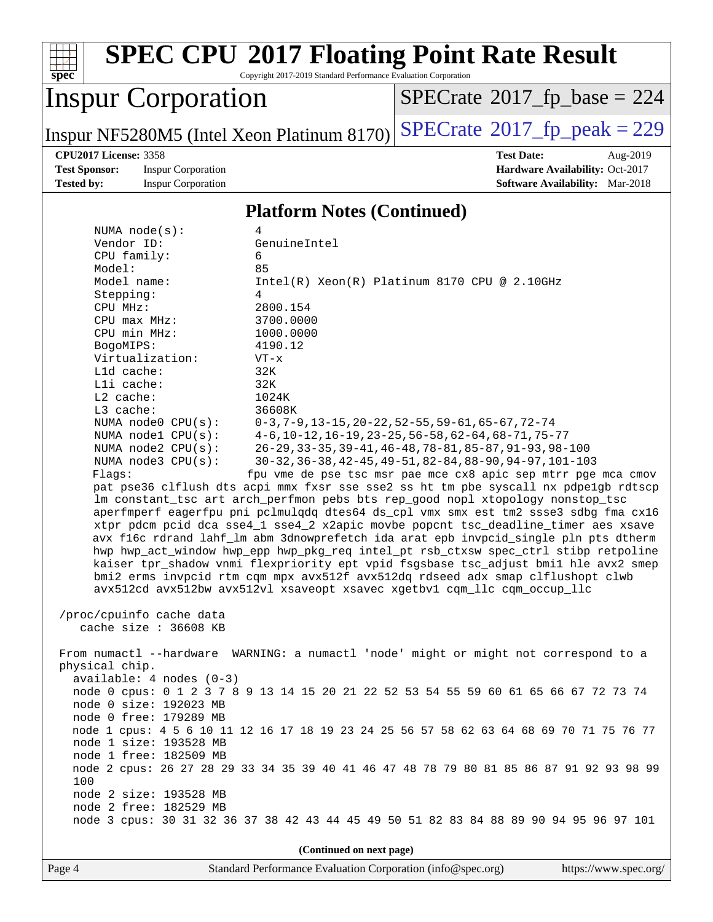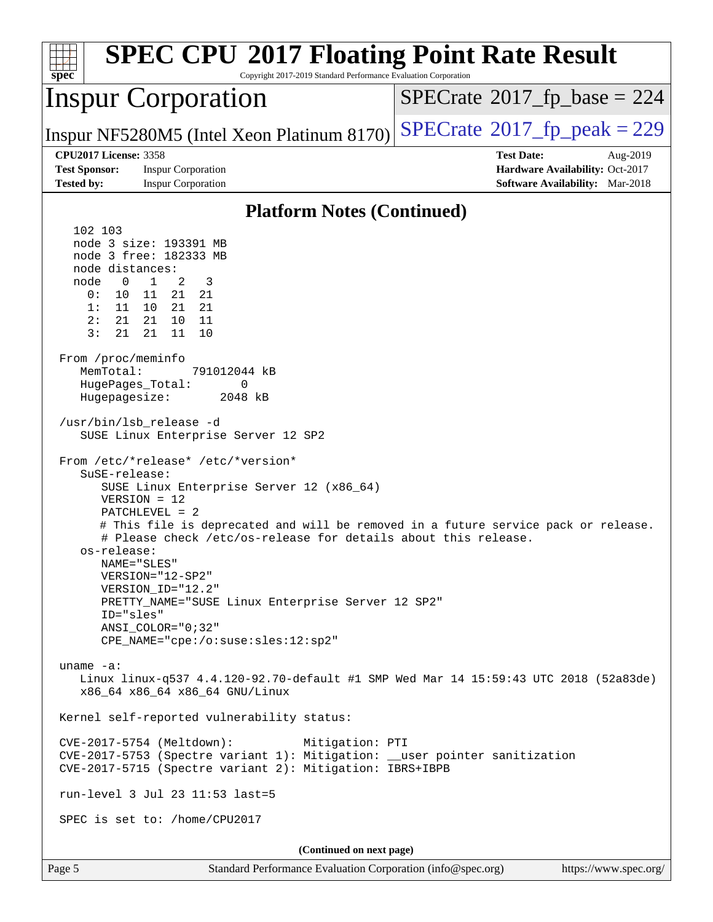| $spec^*$                                                                                                                                                                                                                                                         | <b>SPEC CPU®2017 Floating Point Rate Result</b><br>Copyright 2017-2019 Standard Performance Evaluation Corporation                                                                                                                                                                                                                                                                                                                                                                                                                                                                                                                                                                                                                                                                                                                                                                                                                                                                                                                                                                                                                                |                                      |                                                                                       |
|------------------------------------------------------------------------------------------------------------------------------------------------------------------------------------------------------------------------------------------------------------------|---------------------------------------------------------------------------------------------------------------------------------------------------------------------------------------------------------------------------------------------------------------------------------------------------------------------------------------------------------------------------------------------------------------------------------------------------------------------------------------------------------------------------------------------------------------------------------------------------------------------------------------------------------------------------------------------------------------------------------------------------------------------------------------------------------------------------------------------------------------------------------------------------------------------------------------------------------------------------------------------------------------------------------------------------------------------------------------------------------------------------------------------------|--------------------------------------|---------------------------------------------------------------------------------------|
|                                                                                                                                                                                                                                                                  | <b>Inspur Corporation</b>                                                                                                                                                                                                                                                                                                                                                                                                                                                                                                                                                                                                                                                                                                                                                                                                                                                                                                                                                                                                                                                                                                                         | $SPECrate^{\circ}2017$ [p base = 224 |                                                                                       |
|                                                                                                                                                                                                                                                                  | Inspur NF5280M5 (Intel Xeon Platinum 8170)                                                                                                                                                                                                                                                                                                                                                                                                                                                                                                                                                                                                                                                                                                                                                                                                                                                                                                                                                                                                                                                                                                        | $SPECTate@2017_fp\_peak = 229$       |                                                                                       |
| <b>CPU2017 License: 3358</b><br><b>Test Sponsor:</b><br><b>Tested by:</b>                                                                                                                                                                                        | <b>Inspur Corporation</b><br><b>Inspur Corporation</b>                                                                                                                                                                                                                                                                                                                                                                                                                                                                                                                                                                                                                                                                                                                                                                                                                                                                                                                                                                                                                                                                                            | <b>Test Date:</b>                    | Aug-2019<br>Hardware Availability: Oct-2017<br><b>Software Availability:</b> Mar-2018 |
|                                                                                                                                                                                                                                                                  | <b>Platform Notes (Continued)</b>                                                                                                                                                                                                                                                                                                                                                                                                                                                                                                                                                                                                                                                                                                                                                                                                                                                                                                                                                                                                                                                                                                                 |                                      |                                                                                       |
| 102 103<br>node distances:<br>node<br>$\overline{\phantom{0}}$<br>0:<br>10 <sub>1</sub><br>1:<br>11<br>2:<br>21<br>3:<br>21<br>From /proc/meminfo<br>MemTotal:<br>HugePages_Total:<br>Hugepagesize:<br>SuSE-release:<br>os-release:<br>ID="sles"<br>uname $-a$ : | node 3 size: 193391 MB<br>node 3 free: 182333 MB<br>$\mathbf{1}$<br>2<br>3<br>11<br>21<br>21<br>10<br>21 21<br>21<br>10<br>- 11<br>21<br>11<br>10<br>791012044 kB<br>0<br>2048 kB<br>/usr/bin/lsb release -d<br>SUSE Linux Enterprise Server 12 SP2<br>From /etc/*release* /etc/*version*<br>SUSE Linux Enterprise Server 12 (x86_64)<br>$VERSION = 12$<br>$PATCHLEVEL = 2$<br># This file is deprecated and will be removed in a future service pack or release.<br># Please check /etc/os-release for details about this release.<br>NAME="SLES"<br>VERSION="12-SP2"<br>VERSION_ID="12.2"<br>PRETTY_NAME="SUSE Linux Enterprise Server 12 SP2"<br>ANSI COLOR="0;32"<br>CPE_NAME="cpe:/o:suse:sles:12:sp2"<br>Linux linux-q537 4.4.120-92.70-default #1 SMP Wed Mar 14 15:59:43 UTC 2018 (52a83de)<br>x86_64 x86_64 x86_64 GNU/Linux<br>Kernel self-reported vulnerability status:<br>CVE-2017-5754 (Meltdown):<br>Mitigation: PTI<br>CVE-2017-5753 (Spectre variant 1): Mitigation: __user pointer sanitization<br>CVE-2017-5715 (Spectre variant 2): Mitigation: IBRS+IBPB<br>run-level 3 Jul 23 11:53 last=5<br>SPEC is set to: /home/CPU2017 |                                      |                                                                                       |
|                                                                                                                                                                                                                                                                  | (Continued on next page)                                                                                                                                                                                                                                                                                                                                                                                                                                                                                                                                                                                                                                                                                                                                                                                                                                                                                                                                                                                                                                                                                                                          |                                      |                                                                                       |
| Page 5                                                                                                                                                                                                                                                           | Standard Performance Evaluation Corporation (info@spec.org)                                                                                                                                                                                                                                                                                                                                                                                                                                                                                                                                                                                                                                                                                                                                                                                                                                                                                                                                                                                                                                                                                       |                                      | https://www.spec.org/                                                                 |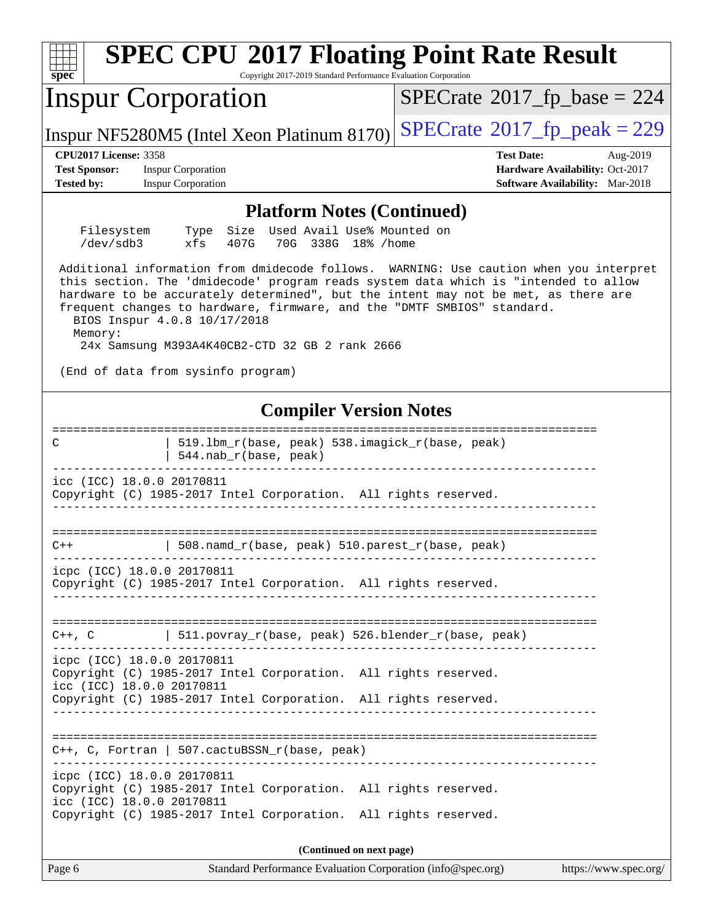| <b>SPEC CPU®2017 Floating Point Rate Result</b><br>Spec<br>Copyright 2017-2019 Standard Performance Evaluation Corporation                                                                                                                                                                                                                                                                                                                  |                                        |
|---------------------------------------------------------------------------------------------------------------------------------------------------------------------------------------------------------------------------------------------------------------------------------------------------------------------------------------------------------------------------------------------------------------------------------------------|----------------------------------------|
| <b>Inspur Corporation</b>                                                                                                                                                                                                                                                                                                                                                                                                                   | $SPECrate^{\circ}2017$ _fp_base = 224  |
| Inspur NF5280M5 (Intel Xeon Platinum 8170)                                                                                                                                                                                                                                                                                                                                                                                                  | $SPECTate@2017fr peak = 229$           |
| <b>CPU2017 License: 3358</b>                                                                                                                                                                                                                                                                                                                                                                                                                | <b>Test Date:</b><br>Aug-2019          |
| <b>Test Sponsor:</b><br><b>Inspur Corporation</b>                                                                                                                                                                                                                                                                                                                                                                                           | Hardware Availability: Oct-2017        |
| <b>Tested by:</b><br><b>Inspur Corporation</b>                                                                                                                                                                                                                                                                                                                                                                                              | <b>Software Availability:</b> Mar-2018 |
| <b>Platform Notes (Continued)</b>                                                                                                                                                                                                                                                                                                                                                                                                           |                                        |
| Filesystem<br>Used Avail Use% Mounted on<br>Size<br>Type<br>/dev/sdb3<br>xfs<br>407G<br>70G 338G 18% / home                                                                                                                                                                                                                                                                                                                                 |                                        |
| Additional information from dmidecode follows. WARNING: Use caution when you interpret<br>this section. The 'dmidecode' program reads system data which is "intended to allow<br>hardware to be accurately determined", but the intent may not be met, as there are<br>frequent changes to hardware, firmware, and the "DMTF SMBIOS" standard.<br>BIOS Inspur 4.0.8 10/17/2018<br>Memory:<br>24x Samsung M393A4K40CB2-CTD 32 GB 2 rank 2666 |                                        |
| (End of data from sysinfo program)                                                                                                                                                                                                                                                                                                                                                                                                          |                                        |
| <b>Compiler Version Notes</b>                                                                                                                                                                                                                                                                                                                                                                                                               |                                        |
| 519.1bm_r(base, peak) 538.imagick_r(base, peak)<br>C<br>544.nab_r(base, peak)                                                                                                                                                                                                                                                                                                                                                               |                                        |
| icc (ICC) 18.0.0 20170811<br>Copyright (C) 1985-2017 Intel Corporation. All rights reserved.                                                                                                                                                                                                                                                                                                                                                |                                        |
| 508.namd_r(base, peak) 510.parest_r(base, peak)<br>$C++$                                                                                                                                                                                                                                                                                                                                                                                    |                                        |
| icpc (ICC) 18.0.0 20170811<br>Copyright (C) 1985-2017 Intel Corporation. All rights reserved.                                                                                                                                                                                                                                                                                                                                               |                                        |
| C++, C $ 511.povray_r(base, peak) 526.blender_r(base, peak)$                                                                                                                                                                                                                                                                                                                                                                                |                                        |
| icpc (ICC) 18.0.0 20170811<br>Copyright (C) 1985-2017 Intel Corporation. All rights reserved.<br>icc (ICC) 18.0.0 20170811                                                                                                                                                                                                                                                                                                                  |                                        |
| Copyright (C) 1985-2017 Intel Corporation. All rights reserved.                                                                                                                                                                                                                                                                                                                                                                             |                                        |
| $C++$ , C, Fortran   507.cactuBSSN_r(base, peak)                                                                                                                                                                                                                                                                                                                                                                                            |                                        |
| icpc (ICC) 18.0.0 20170811<br>Copyright (C) 1985-2017 Intel Corporation. All rights reserved.<br>icc (ICC) 18.0.0 20170811                                                                                                                                                                                                                                                                                                                  |                                        |
| Copyright (C) 1985-2017 Intel Corporation. All rights reserved.                                                                                                                                                                                                                                                                                                                                                                             |                                        |
| (Continued on next page)                                                                                                                                                                                                                                                                                                                                                                                                                    |                                        |
| Page 6<br>Standard Performance Evaluation Corporation (info@spec.org)                                                                                                                                                                                                                                                                                                                                                                       | https://www.spec.org/                  |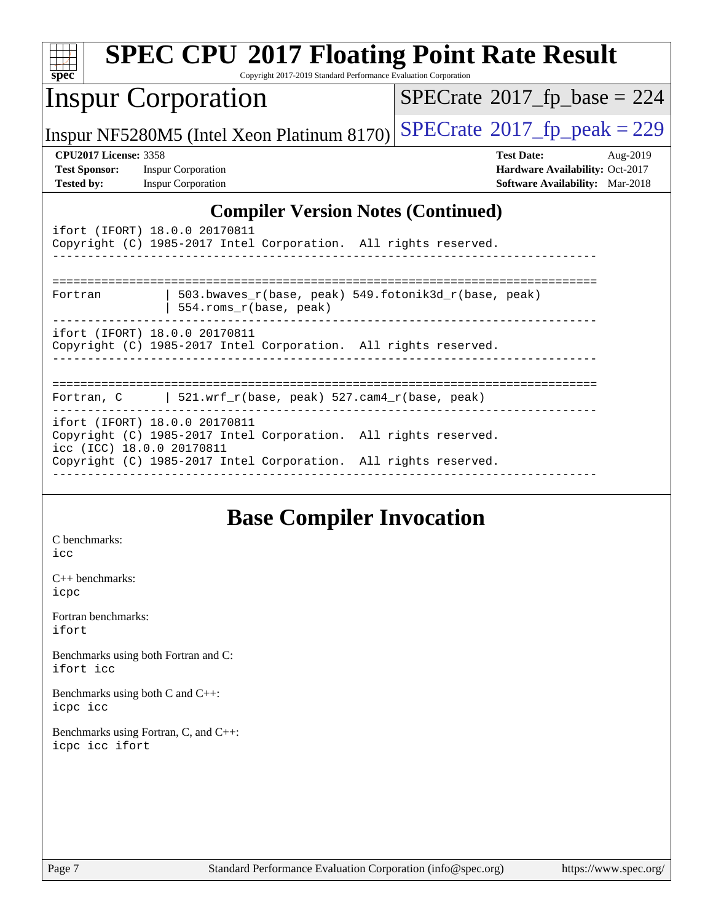| $spec^*$                     | <b>SPEC CPU®2017 Floating Point Rate Result</b><br>Copyright 2017-2019 Standard Performance Evaluation Corporation |                                            |
|------------------------------|--------------------------------------------------------------------------------------------------------------------|--------------------------------------------|
|                              | <b>Inspur Corporation</b>                                                                                          | $SPECTate$ <sup>®</sup> 2017_fp_base = 224 |
|                              | Inspur NF5280M5 (Intel Xeon Platinum 8170)                                                                         | $SPECTate@2017_fp\_peak = 229$             |
| <b>CPU2017 License: 3358</b> |                                                                                                                    | <b>Test Date:</b><br>Aug-2019              |
| <b>Test Sponsor:</b>         | <b>Inspur Corporation</b>                                                                                          | Hardware Availability: Oct-2017            |
| <b>Tested by:</b>            | <b>Inspur Corporation</b>                                                                                          | <b>Software Availability:</b> Mar-2018     |
|                              | <b>Compiler Version Notes (Continued)</b>                                                                          |                                            |
|                              | ifort (IFORT) 18.0.0 20170811                                                                                      |                                            |
|                              | Copyright (C) 1985-2017 Intel Corporation. All rights reserved.                                                    |                                            |
|                              |                                                                                                                    |                                            |
|                              |                                                                                                                    |                                            |
| Fortran                      | 503.bwaves_r(base, peak) 549.fotonik3d_r(base, peak)<br>554.roms_r(base, peak)                                     |                                            |
|                              | ---------<br>ifort (IFORT) 18.0.0 20170811                                                                         |                                            |
|                              | Copyright (C) 1985-2017 Intel Corporation. All rights reserved.                                                    |                                            |
|                              |                                                                                                                    |                                            |
|                              |                                                                                                                    |                                            |
|                              | Fortran, C   521.wrf_r(base, peak) 527.cam4_r(base, peak)                                                          |                                            |
|                              | ifort (IFORT) 18.0.0 20170811                                                                                      |                                            |
|                              | Copyright (C) 1985-2017 Intel Corporation. All rights reserved.<br>icc (ICC) 18.0.0 20170811                       |                                            |
|                              | Copyright (C) 1985-2017 Intel Corporation. All rights reserved.                                                    |                                            |
|                              |                                                                                                                    |                                            |
|                              |                                                                                                                    |                                            |

## **[Base Compiler Invocation](http://www.spec.org/auto/cpu2017/Docs/result-fields.html#BaseCompilerInvocation)**

[C benchmarks](http://www.spec.org/auto/cpu2017/Docs/result-fields.html#Cbenchmarks): [icc](http://www.spec.org/cpu2017/results/res2019q3/cpu2017-20190819-17027.flags.html#user_CCbase_intel_icc_18.0_66fc1ee009f7361af1fbd72ca7dcefbb700085f36577c54f309893dd4ec40d12360134090235512931783d35fd58c0460139e722d5067c5574d8eaf2b3e37e92)

[C++ benchmarks:](http://www.spec.org/auto/cpu2017/Docs/result-fields.html#CXXbenchmarks) [icpc](http://www.spec.org/cpu2017/results/res2019q3/cpu2017-20190819-17027.flags.html#user_CXXbase_intel_icpc_18.0_c510b6838c7f56d33e37e94d029a35b4a7bccf4766a728ee175e80a419847e808290a9b78be685c44ab727ea267ec2f070ec5dc83b407c0218cded6866a35d07)

[Fortran benchmarks](http://www.spec.org/auto/cpu2017/Docs/result-fields.html#Fortranbenchmarks): [ifort](http://www.spec.org/cpu2017/results/res2019q3/cpu2017-20190819-17027.flags.html#user_FCbase_intel_ifort_18.0_8111460550e3ca792625aed983ce982f94888b8b503583aa7ba2b8303487b4d8a21a13e7191a45c5fd58ff318f48f9492884d4413fa793fd88dd292cad7027ca)

[Benchmarks using both Fortran and C](http://www.spec.org/auto/cpu2017/Docs/result-fields.html#BenchmarksusingbothFortranandC): [ifort](http://www.spec.org/cpu2017/results/res2019q3/cpu2017-20190819-17027.flags.html#user_CC_FCbase_intel_ifort_18.0_8111460550e3ca792625aed983ce982f94888b8b503583aa7ba2b8303487b4d8a21a13e7191a45c5fd58ff318f48f9492884d4413fa793fd88dd292cad7027ca) [icc](http://www.spec.org/cpu2017/results/res2019q3/cpu2017-20190819-17027.flags.html#user_CC_FCbase_intel_icc_18.0_66fc1ee009f7361af1fbd72ca7dcefbb700085f36577c54f309893dd4ec40d12360134090235512931783d35fd58c0460139e722d5067c5574d8eaf2b3e37e92)

[Benchmarks using both C and C++](http://www.spec.org/auto/cpu2017/Docs/result-fields.html#BenchmarksusingbothCandCXX): [icpc](http://www.spec.org/cpu2017/results/res2019q3/cpu2017-20190819-17027.flags.html#user_CC_CXXbase_intel_icpc_18.0_c510b6838c7f56d33e37e94d029a35b4a7bccf4766a728ee175e80a419847e808290a9b78be685c44ab727ea267ec2f070ec5dc83b407c0218cded6866a35d07) [icc](http://www.spec.org/cpu2017/results/res2019q3/cpu2017-20190819-17027.flags.html#user_CC_CXXbase_intel_icc_18.0_66fc1ee009f7361af1fbd72ca7dcefbb700085f36577c54f309893dd4ec40d12360134090235512931783d35fd58c0460139e722d5067c5574d8eaf2b3e37e92)

[Benchmarks using Fortran, C, and C++:](http://www.spec.org/auto/cpu2017/Docs/result-fields.html#BenchmarksusingFortranCandCXX) [icpc](http://www.spec.org/cpu2017/results/res2019q3/cpu2017-20190819-17027.flags.html#user_CC_CXX_FCbase_intel_icpc_18.0_c510b6838c7f56d33e37e94d029a35b4a7bccf4766a728ee175e80a419847e808290a9b78be685c44ab727ea267ec2f070ec5dc83b407c0218cded6866a35d07) [icc](http://www.spec.org/cpu2017/results/res2019q3/cpu2017-20190819-17027.flags.html#user_CC_CXX_FCbase_intel_icc_18.0_66fc1ee009f7361af1fbd72ca7dcefbb700085f36577c54f309893dd4ec40d12360134090235512931783d35fd58c0460139e722d5067c5574d8eaf2b3e37e92) [ifort](http://www.spec.org/cpu2017/results/res2019q3/cpu2017-20190819-17027.flags.html#user_CC_CXX_FCbase_intel_ifort_18.0_8111460550e3ca792625aed983ce982f94888b8b503583aa7ba2b8303487b4d8a21a13e7191a45c5fd58ff318f48f9492884d4413fa793fd88dd292cad7027ca)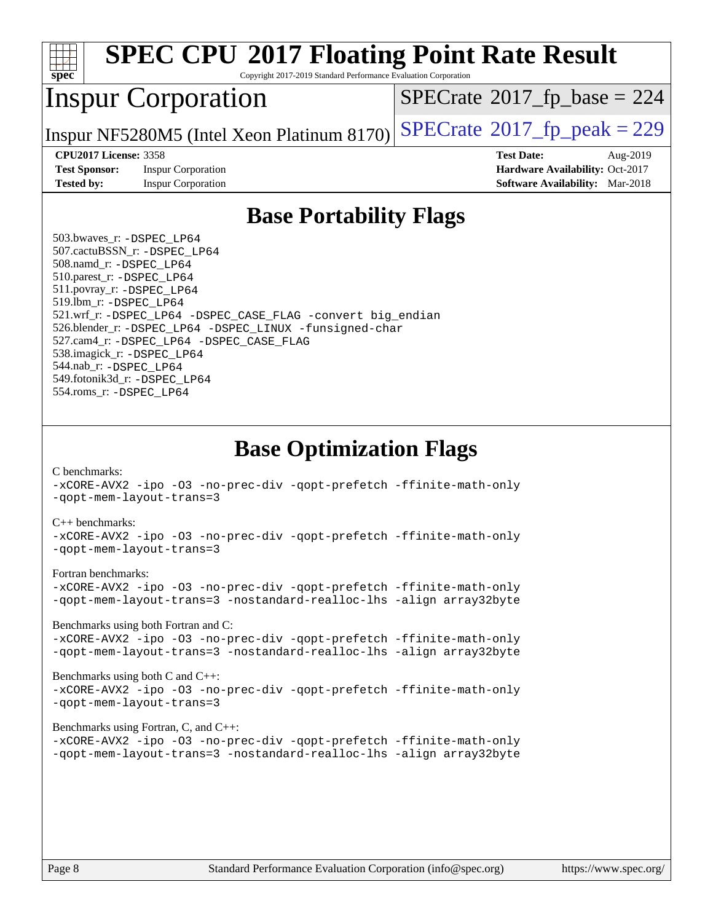

# **[SPEC CPU](http://www.spec.org/auto/cpu2017/Docs/result-fields.html#SPECCPU2017FloatingPointRateResult)[2017 Floating Point Rate Result](http://www.spec.org/auto/cpu2017/Docs/result-fields.html#SPECCPU2017FloatingPointRateResult)**

Copyright 2017-2019 Standard Performance Evaluation Corporation

## Inspur Corporation

 $SPECTate$ <sup>®</sup>[2017\\_fp\\_base =](http://www.spec.org/auto/cpu2017/Docs/result-fields.html#SPECrate2017fpbase) 224

Inspur NF5280M5 (Intel Xeon Platinum 8170)  $\text{SPECrate}^{\circ}2017$  $\text{SPECrate}^{\circ}2017$  $\text{SPECrate}^{\circ}2017$  fp peak = 229

**[Test Sponsor:](http://www.spec.org/auto/cpu2017/Docs/result-fields.html#TestSponsor)** Inspur Corporation **[Hardware Availability:](http://www.spec.org/auto/cpu2017/Docs/result-fields.html#HardwareAvailability)** Oct-2017 **[Tested by:](http://www.spec.org/auto/cpu2017/Docs/result-fields.html#Testedby)** Inspur Corporation **[Software Availability:](http://www.spec.org/auto/cpu2017/Docs/result-fields.html#SoftwareAvailability)** Mar-2018

**[CPU2017 License:](http://www.spec.org/auto/cpu2017/Docs/result-fields.html#CPU2017License)** 3358 **[Test Date:](http://www.spec.org/auto/cpu2017/Docs/result-fields.html#TestDate)** Aug-2019

#### **[Base Portability Flags](http://www.spec.org/auto/cpu2017/Docs/result-fields.html#BasePortabilityFlags)**

 503.bwaves\_r: [-DSPEC\\_LP64](http://www.spec.org/cpu2017/results/res2019q3/cpu2017-20190819-17027.flags.html#suite_basePORTABILITY503_bwaves_r_DSPEC_LP64) 507.cactuBSSN\_r: [-DSPEC\\_LP64](http://www.spec.org/cpu2017/results/res2019q3/cpu2017-20190819-17027.flags.html#suite_basePORTABILITY507_cactuBSSN_r_DSPEC_LP64) 508.namd\_r: [-DSPEC\\_LP64](http://www.spec.org/cpu2017/results/res2019q3/cpu2017-20190819-17027.flags.html#suite_basePORTABILITY508_namd_r_DSPEC_LP64) 510.parest\_r: [-DSPEC\\_LP64](http://www.spec.org/cpu2017/results/res2019q3/cpu2017-20190819-17027.flags.html#suite_basePORTABILITY510_parest_r_DSPEC_LP64) 511.povray\_r: [-DSPEC\\_LP64](http://www.spec.org/cpu2017/results/res2019q3/cpu2017-20190819-17027.flags.html#suite_basePORTABILITY511_povray_r_DSPEC_LP64) 519.lbm\_r: [-DSPEC\\_LP64](http://www.spec.org/cpu2017/results/res2019q3/cpu2017-20190819-17027.flags.html#suite_basePORTABILITY519_lbm_r_DSPEC_LP64) 521.wrf\_r: [-DSPEC\\_LP64](http://www.spec.org/cpu2017/results/res2019q3/cpu2017-20190819-17027.flags.html#suite_basePORTABILITY521_wrf_r_DSPEC_LP64) [-DSPEC\\_CASE\\_FLAG](http://www.spec.org/cpu2017/results/res2019q3/cpu2017-20190819-17027.flags.html#b521.wrf_r_baseCPORTABILITY_DSPEC_CASE_FLAG) [-convert big\\_endian](http://www.spec.org/cpu2017/results/res2019q3/cpu2017-20190819-17027.flags.html#user_baseFPORTABILITY521_wrf_r_convert_big_endian_c3194028bc08c63ac5d04de18c48ce6d347e4e562e8892b8bdbdc0214820426deb8554edfa529a3fb25a586e65a3d812c835984020483e7e73212c4d31a38223) 526.blender\_r: [-DSPEC\\_LP64](http://www.spec.org/cpu2017/results/res2019q3/cpu2017-20190819-17027.flags.html#suite_basePORTABILITY526_blender_r_DSPEC_LP64) [-DSPEC\\_LINUX](http://www.spec.org/cpu2017/results/res2019q3/cpu2017-20190819-17027.flags.html#b526.blender_r_baseCPORTABILITY_DSPEC_LINUX) [-funsigned-char](http://www.spec.org/cpu2017/results/res2019q3/cpu2017-20190819-17027.flags.html#user_baseCPORTABILITY526_blender_r_force_uchar_40c60f00ab013830e2dd6774aeded3ff59883ba5a1fc5fc14077f794d777847726e2a5858cbc7672e36e1b067e7e5c1d9a74f7176df07886a243d7cc18edfe67) 527.cam4\_r: [-DSPEC\\_LP64](http://www.spec.org/cpu2017/results/res2019q3/cpu2017-20190819-17027.flags.html#suite_basePORTABILITY527_cam4_r_DSPEC_LP64) [-DSPEC\\_CASE\\_FLAG](http://www.spec.org/cpu2017/results/res2019q3/cpu2017-20190819-17027.flags.html#b527.cam4_r_baseCPORTABILITY_DSPEC_CASE_FLAG) 538.imagick\_r: [-DSPEC\\_LP64](http://www.spec.org/cpu2017/results/res2019q3/cpu2017-20190819-17027.flags.html#suite_basePORTABILITY538_imagick_r_DSPEC_LP64) 544.nab\_r: [-DSPEC\\_LP64](http://www.spec.org/cpu2017/results/res2019q3/cpu2017-20190819-17027.flags.html#suite_basePORTABILITY544_nab_r_DSPEC_LP64) 549.fotonik3d\_r: [-DSPEC\\_LP64](http://www.spec.org/cpu2017/results/res2019q3/cpu2017-20190819-17027.flags.html#suite_basePORTABILITY549_fotonik3d_r_DSPEC_LP64) 554.roms\_r: [-DSPEC\\_LP64](http://www.spec.org/cpu2017/results/res2019q3/cpu2017-20190819-17027.flags.html#suite_basePORTABILITY554_roms_r_DSPEC_LP64)

**[Base Optimization Flags](http://www.spec.org/auto/cpu2017/Docs/result-fields.html#BaseOptimizationFlags)**

[C benchmarks](http://www.spec.org/auto/cpu2017/Docs/result-fields.html#Cbenchmarks):

[-xCORE-AVX2](http://www.spec.org/cpu2017/results/res2019q3/cpu2017-20190819-17027.flags.html#user_CCbase_f-xCORE-AVX2) [-ipo](http://www.spec.org/cpu2017/results/res2019q3/cpu2017-20190819-17027.flags.html#user_CCbase_f-ipo) [-O3](http://www.spec.org/cpu2017/results/res2019q3/cpu2017-20190819-17027.flags.html#user_CCbase_f-O3) [-no-prec-div](http://www.spec.org/cpu2017/results/res2019q3/cpu2017-20190819-17027.flags.html#user_CCbase_f-no-prec-div) [-qopt-prefetch](http://www.spec.org/cpu2017/results/res2019q3/cpu2017-20190819-17027.flags.html#user_CCbase_f-qopt-prefetch) [-ffinite-math-only](http://www.spec.org/cpu2017/results/res2019q3/cpu2017-20190819-17027.flags.html#user_CCbase_f_finite_math_only_cb91587bd2077682c4b38af759c288ed7c732db004271a9512da14a4f8007909a5f1427ecbf1a0fb78ff2a814402c6114ac565ca162485bbcae155b5e4258871) [-qopt-mem-layout-trans=3](http://www.spec.org/cpu2017/results/res2019q3/cpu2017-20190819-17027.flags.html#user_CCbase_f-qopt-mem-layout-trans_de80db37974c74b1f0e20d883f0b675c88c3b01e9d123adea9b28688d64333345fb62bc4a798493513fdb68f60282f9a726aa07f478b2f7113531aecce732043)

#### [C++ benchmarks:](http://www.spec.org/auto/cpu2017/Docs/result-fields.html#CXXbenchmarks)

[-xCORE-AVX2](http://www.spec.org/cpu2017/results/res2019q3/cpu2017-20190819-17027.flags.html#user_CXXbase_f-xCORE-AVX2) [-ipo](http://www.spec.org/cpu2017/results/res2019q3/cpu2017-20190819-17027.flags.html#user_CXXbase_f-ipo) [-O3](http://www.spec.org/cpu2017/results/res2019q3/cpu2017-20190819-17027.flags.html#user_CXXbase_f-O3) [-no-prec-div](http://www.spec.org/cpu2017/results/res2019q3/cpu2017-20190819-17027.flags.html#user_CXXbase_f-no-prec-div) [-qopt-prefetch](http://www.spec.org/cpu2017/results/res2019q3/cpu2017-20190819-17027.flags.html#user_CXXbase_f-qopt-prefetch) [-ffinite-math-only](http://www.spec.org/cpu2017/results/res2019q3/cpu2017-20190819-17027.flags.html#user_CXXbase_f_finite_math_only_cb91587bd2077682c4b38af759c288ed7c732db004271a9512da14a4f8007909a5f1427ecbf1a0fb78ff2a814402c6114ac565ca162485bbcae155b5e4258871) [-qopt-mem-layout-trans=3](http://www.spec.org/cpu2017/results/res2019q3/cpu2017-20190819-17027.flags.html#user_CXXbase_f-qopt-mem-layout-trans_de80db37974c74b1f0e20d883f0b675c88c3b01e9d123adea9b28688d64333345fb62bc4a798493513fdb68f60282f9a726aa07f478b2f7113531aecce732043)

#### [Fortran benchmarks](http://www.spec.org/auto/cpu2017/Docs/result-fields.html#Fortranbenchmarks):

[-xCORE-AVX2](http://www.spec.org/cpu2017/results/res2019q3/cpu2017-20190819-17027.flags.html#user_FCbase_f-xCORE-AVX2) [-ipo](http://www.spec.org/cpu2017/results/res2019q3/cpu2017-20190819-17027.flags.html#user_FCbase_f-ipo) [-O3](http://www.spec.org/cpu2017/results/res2019q3/cpu2017-20190819-17027.flags.html#user_FCbase_f-O3) [-no-prec-div](http://www.spec.org/cpu2017/results/res2019q3/cpu2017-20190819-17027.flags.html#user_FCbase_f-no-prec-div) [-qopt-prefetch](http://www.spec.org/cpu2017/results/res2019q3/cpu2017-20190819-17027.flags.html#user_FCbase_f-qopt-prefetch) [-ffinite-math-only](http://www.spec.org/cpu2017/results/res2019q3/cpu2017-20190819-17027.flags.html#user_FCbase_f_finite_math_only_cb91587bd2077682c4b38af759c288ed7c732db004271a9512da14a4f8007909a5f1427ecbf1a0fb78ff2a814402c6114ac565ca162485bbcae155b5e4258871) [-qopt-mem-layout-trans=3](http://www.spec.org/cpu2017/results/res2019q3/cpu2017-20190819-17027.flags.html#user_FCbase_f-qopt-mem-layout-trans_de80db37974c74b1f0e20d883f0b675c88c3b01e9d123adea9b28688d64333345fb62bc4a798493513fdb68f60282f9a726aa07f478b2f7113531aecce732043) [-nostandard-realloc-lhs](http://www.spec.org/cpu2017/results/res2019q3/cpu2017-20190819-17027.flags.html#user_FCbase_f_2003_std_realloc_82b4557e90729c0f113870c07e44d33d6f5a304b4f63d4c15d2d0f1fab99f5daaed73bdb9275d9ae411527f28b936061aa8b9c8f2d63842963b95c9dd6426b8a) [-align array32byte](http://www.spec.org/cpu2017/results/res2019q3/cpu2017-20190819-17027.flags.html#user_FCbase_align_array32byte_b982fe038af199962ba9a80c053b8342c548c85b40b8e86eb3cc33dee0d7986a4af373ac2d51c3f7cf710a18d62fdce2948f201cd044323541f22fc0fffc51b6)

[Benchmarks using both Fortran and C](http://www.spec.org/auto/cpu2017/Docs/result-fields.html#BenchmarksusingbothFortranandC):

[-xCORE-AVX2](http://www.spec.org/cpu2017/results/res2019q3/cpu2017-20190819-17027.flags.html#user_CC_FCbase_f-xCORE-AVX2) [-ipo](http://www.spec.org/cpu2017/results/res2019q3/cpu2017-20190819-17027.flags.html#user_CC_FCbase_f-ipo) [-O3](http://www.spec.org/cpu2017/results/res2019q3/cpu2017-20190819-17027.flags.html#user_CC_FCbase_f-O3) [-no-prec-div](http://www.spec.org/cpu2017/results/res2019q3/cpu2017-20190819-17027.flags.html#user_CC_FCbase_f-no-prec-div) [-qopt-prefetch](http://www.spec.org/cpu2017/results/res2019q3/cpu2017-20190819-17027.flags.html#user_CC_FCbase_f-qopt-prefetch) [-ffinite-math-only](http://www.spec.org/cpu2017/results/res2019q3/cpu2017-20190819-17027.flags.html#user_CC_FCbase_f_finite_math_only_cb91587bd2077682c4b38af759c288ed7c732db004271a9512da14a4f8007909a5f1427ecbf1a0fb78ff2a814402c6114ac565ca162485bbcae155b5e4258871) [-qopt-mem-layout-trans=3](http://www.spec.org/cpu2017/results/res2019q3/cpu2017-20190819-17027.flags.html#user_CC_FCbase_f-qopt-mem-layout-trans_de80db37974c74b1f0e20d883f0b675c88c3b01e9d123adea9b28688d64333345fb62bc4a798493513fdb68f60282f9a726aa07f478b2f7113531aecce732043) [-nostandard-realloc-lhs](http://www.spec.org/cpu2017/results/res2019q3/cpu2017-20190819-17027.flags.html#user_CC_FCbase_f_2003_std_realloc_82b4557e90729c0f113870c07e44d33d6f5a304b4f63d4c15d2d0f1fab99f5daaed73bdb9275d9ae411527f28b936061aa8b9c8f2d63842963b95c9dd6426b8a) [-align array32byte](http://www.spec.org/cpu2017/results/res2019q3/cpu2017-20190819-17027.flags.html#user_CC_FCbase_align_array32byte_b982fe038af199962ba9a80c053b8342c548c85b40b8e86eb3cc33dee0d7986a4af373ac2d51c3f7cf710a18d62fdce2948f201cd044323541f22fc0fffc51b6)

[Benchmarks using both C and C++](http://www.spec.org/auto/cpu2017/Docs/result-fields.html#BenchmarksusingbothCandCXX): [-xCORE-AVX2](http://www.spec.org/cpu2017/results/res2019q3/cpu2017-20190819-17027.flags.html#user_CC_CXXbase_f-xCORE-AVX2) [-ipo](http://www.spec.org/cpu2017/results/res2019q3/cpu2017-20190819-17027.flags.html#user_CC_CXXbase_f-ipo) [-O3](http://www.spec.org/cpu2017/results/res2019q3/cpu2017-20190819-17027.flags.html#user_CC_CXXbase_f-O3) [-no-prec-div](http://www.spec.org/cpu2017/results/res2019q3/cpu2017-20190819-17027.flags.html#user_CC_CXXbase_f-no-prec-div) [-qopt-prefetch](http://www.spec.org/cpu2017/results/res2019q3/cpu2017-20190819-17027.flags.html#user_CC_CXXbase_f-qopt-prefetch) [-ffinite-math-only](http://www.spec.org/cpu2017/results/res2019q3/cpu2017-20190819-17027.flags.html#user_CC_CXXbase_f_finite_math_only_cb91587bd2077682c4b38af759c288ed7c732db004271a9512da14a4f8007909a5f1427ecbf1a0fb78ff2a814402c6114ac565ca162485bbcae155b5e4258871) [-qopt-mem-layout-trans=3](http://www.spec.org/cpu2017/results/res2019q3/cpu2017-20190819-17027.flags.html#user_CC_CXXbase_f-qopt-mem-layout-trans_de80db37974c74b1f0e20d883f0b675c88c3b01e9d123adea9b28688d64333345fb62bc4a798493513fdb68f60282f9a726aa07f478b2f7113531aecce732043)

#### [Benchmarks using Fortran, C, and C++:](http://www.spec.org/auto/cpu2017/Docs/result-fields.html#BenchmarksusingFortranCandCXX)

[-xCORE-AVX2](http://www.spec.org/cpu2017/results/res2019q3/cpu2017-20190819-17027.flags.html#user_CC_CXX_FCbase_f-xCORE-AVX2) [-ipo](http://www.spec.org/cpu2017/results/res2019q3/cpu2017-20190819-17027.flags.html#user_CC_CXX_FCbase_f-ipo) [-O3](http://www.spec.org/cpu2017/results/res2019q3/cpu2017-20190819-17027.flags.html#user_CC_CXX_FCbase_f-O3) [-no-prec-div](http://www.spec.org/cpu2017/results/res2019q3/cpu2017-20190819-17027.flags.html#user_CC_CXX_FCbase_f-no-prec-div) [-qopt-prefetch](http://www.spec.org/cpu2017/results/res2019q3/cpu2017-20190819-17027.flags.html#user_CC_CXX_FCbase_f-qopt-prefetch) [-ffinite-math-only](http://www.spec.org/cpu2017/results/res2019q3/cpu2017-20190819-17027.flags.html#user_CC_CXX_FCbase_f_finite_math_only_cb91587bd2077682c4b38af759c288ed7c732db004271a9512da14a4f8007909a5f1427ecbf1a0fb78ff2a814402c6114ac565ca162485bbcae155b5e4258871) [-qopt-mem-layout-trans=3](http://www.spec.org/cpu2017/results/res2019q3/cpu2017-20190819-17027.flags.html#user_CC_CXX_FCbase_f-qopt-mem-layout-trans_de80db37974c74b1f0e20d883f0b675c88c3b01e9d123adea9b28688d64333345fb62bc4a798493513fdb68f60282f9a726aa07f478b2f7113531aecce732043) [-nostandard-realloc-lhs](http://www.spec.org/cpu2017/results/res2019q3/cpu2017-20190819-17027.flags.html#user_CC_CXX_FCbase_f_2003_std_realloc_82b4557e90729c0f113870c07e44d33d6f5a304b4f63d4c15d2d0f1fab99f5daaed73bdb9275d9ae411527f28b936061aa8b9c8f2d63842963b95c9dd6426b8a) [-align array32byte](http://www.spec.org/cpu2017/results/res2019q3/cpu2017-20190819-17027.flags.html#user_CC_CXX_FCbase_align_array32byte_b982fe038af199962ba9a80c053b8342c548c85b40b8e86eb3cc33dee0d7986a4af373ac2d51c3f7cf710a18d62fdce2948f201cd044323541f22fc0fffc51b6)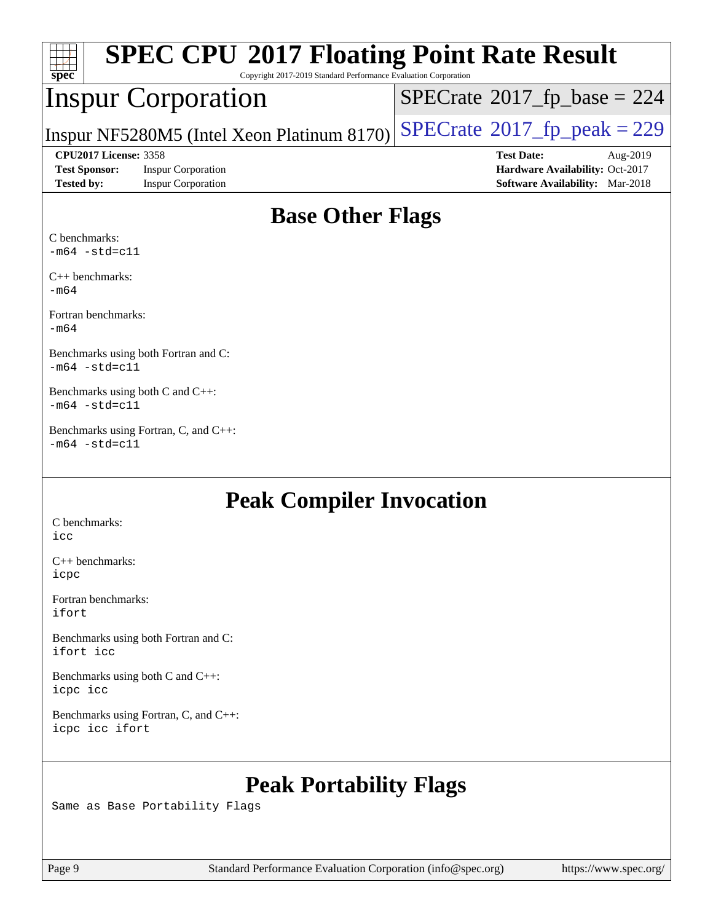| spec <sup>®</sup>    |                              | <b>SPEC CPU®2017 Floating Point Rate Result</b><br>Copyright 2017-2019 Standard Performance Evaluation Corporation |                                             |                                        |          |
|----------------------|------------------------------|--------------------------------------------------------------------------------------------------------------------|---------------------------------------------|----------------------------------------|----------|
|                      |                              | <b>Inspur Corporation</b>                                                                                          | $SPECrate^{\circ}2017$ _fp_base = 224       |                                        |          |
|                      |                              | Inspur NF5280M5 (Intel Xeon Platinum 8170)                                                                         | $SPECrate^{\circledcirc}2017$ fp peak = 229 |                                        |          |
|                      | <b>CPU2017 License: 3358</b> |                                                                                                                    |                                             | <b>Test Date:</b>                      | Aug-2019 |
| <b>Test Sponsor:</b> |                              | <b>Inspur Corporation</b>                                                                                          |                                             | Hardware Availability: Oct-2017        |          |
| <b>Tested by:</b>    |                              | <b>Inspur Corporation</b>                                                                                          |                                             | <b>Software Availability:</b> Mar-2018 |          |
|                      |                              |                                                                                                                    |                                             |                                        |          |

### **[Base Other Flags](http://www.spec.org/auto/cpu2017/Docs/result-fields.html#BaseOtherFlags)**

[C benchmarks:](http://www.spec.org/auto/cpu2017/Docs/result-fields.html#Cbenchmarks)  $-m64 - std = c11$  $-m64 - std = c11$ 

[C++ benchmarks:](http://www.spec.org/auto/cpu2017/Docs/result-fields.html#CXXbenchmarks) [-m64](http://www.spec.org/cpu2017/results/res2019q3/cpu2017-20190819-17027.flags.html#user_CXXbase_intel_intel64_18.0_af43caccfc8ded86e7699f2159af6efc7655f51387b94da716254467f3c01020a5059329e2569e4053f409e7c9202a7efc638f7a6d1ffb3f52dea4a3e31d82ab)

[Fortran benchmarks](http://www.spec.org/auto/cpu2017/Docs/result-fields.html#Fortranbenchmarks): [-m64](http://www.spec.org/cpu2017/results/res2019q3/cpu2017-20190819-17027.flags.html#user_FCbase_intel_intel64_18.0_af43caccfc8ded86e7699f2159af6efc7655f51387b94da716254467f3c01020a5059329e2569e4053f409e7c9202a7efc638f7a6d1ffb3f52dea4a3e31d82ab)

[Benchmarks using both Fortran and C:](http://www.spec.org/auto/cpu2017/Docs/result-fields.html#BenchmarksusingbothFortranandC) [-m64](http://www.spec.org/cpu2017/results/res2019q3/cpu2017-20190819-17027.flags.html#user_CC_FCbase_intel_intel64_18.0_af43caccfc8ded86e7699f2159af6efc7655f51387b94da716254467f3c01020a5059329e2569e4053f409e7c9202a7efc638f7a6d1ffb3f52dea4a3e31d82ab) [-std=c11](http://www.spec.org/cpu2017/results/res2019q3/cpu2017-20190819-17027.flags.html#user_CC_FCbase_intel_compiler_c11_mode_0e1c27790398a4642dfca32ffe6c27b5796f9c2d2676156f2e42c9c44eaad0c049b1cdb667a270c34d979996257aeb8fc440bfb01818dbc9357bd9d174cb8524)

[Benchmarks using both C and C++](http://www.spec.org/auto/cpu2017/Docs/result-fields.html#BenchmarksusingbothCandCXX): [-m64](http://www.spec.org/cpu2017/results/res2019q3/cpu2017-20190819-17027.flags.html#user_CC_CXXbase_intel_intel64_18.0_af43caccfc8ded86e7699f2159af6efc7655f51387b94da716254467f3c01020a5059329e2569e4053f409e7c9202a7efc638f7a6d1ffb3f52dea4a3e31d82ab) [-std=c11](http://www.spec.org/cpu2017/results/res2019q3/cpu2017-20190819-17027.flags.html#user_CC_CXXbase_intel_compiler_c11_mode_0e1c27790398a4642dfca32ffe6c27b5796f9c2d2676156f2e42c9c44eaad0c049b1cdb667a270c34d979996257aeb8fc440bfb01818dbc9357bd9d174cb8524)

[Benchmarks using Fortran, C, and C++:](http://www.spec.org/auto/cpu2017/Docs/result-fields.html#BenchmarksusingFortranCandCXX)  $-m64$   $-std=cl1$ 

#### **[Peak Compiler Invocation](http://www.spec.org/auto/cpu2017/Docs/result-fields.html#PeakCompilerInvocation)**

[C benchmarks](http://www.spec.org/auto/cpu2017/Docs/result-fields.html#Cbenchmarks): [icc](http://www.spec.org/cpu2017/results/res2019q3/cpu2017-20190819-17027.flags.html#user_CCpeak_intel_icc_18.0_66fc1ee009f7361af1fbd72ca7dcefbb700085f36577c54f309893dd4ec40d12360134090235512931783d35fd58c0460139e722d5067c5574d8eaf2b3e37e92)

[C++ benchmarks:](http://www.spec.org/auto/cpu2017/Docs/result-fields.html#CXXbenchmarks) [icpc](http://www.spec.org/cpu2017/results/res2019q3/cpu2017-20190819-17027.flags.html#user_CXXpeak_intel_icpc_18.0_c510b6838c7f56d33e37e94d029a35b4a7bccf4766a728ee175e80a419847e808290a9b78be685c44ab727ea267ec2f070ec5dc83b407c0218cded6866a35d07)

[Fortran benchmarks](http://www.spec.org/auto/cpu2017/Docs/result-fields.html#Fortranbenchmarks): [ifort](http://www.spec.org/cpu2017/results/res2019q3/cpu2017-20190819-17027.flags.html#user_FCpeak_intel_ifort_18.0_8111460550e3ca792625aed983ce982f94888b8b503583aa7ba2b8303487b4d8a21a13e7191a45c5fd58ff318f48f9492884d4413fa793fd88dd292cad7027ca)

[Benchmarks using both Fortran and C](http://www.spec.org/auto/cpu2017/Docs/result-fields.html#BenchmarksusingbothFortranandC): [ifort](http://www.spec.org/cpu2017/results/res2019q3/cpu2017-20190819-17027.flags.html#user_CC_FCpeak_intel_ifort_18.0_8111460550e3ca792625aed983ce982f94888b8b503583aa7ba2b8303487b4d8a21a13e7191a45c5fd58ff318f48f9492884d4413fa793fd88dd292cad7027ca) [icc](http://www.spec.org/cpu2017/results/res2019q3/cpu2017-20190819-17027.flags.html#user_CC_FCpeak_intel_icc_18.0_66fc1ee009f7361af1fbd72ca7dcefbb700085f36577c54f309893dd4ec40d12360134090235512931783d35fd58c0460139e722d5067c5574d8eaf2b3e37e92)

[Benchmarks using both C and C++](http://www.spec.org/auto/cpu2017/Docs/result-fields.html#BenchmarksusingbothCandCXX): [icpc](http://www.spec.org/cpu2017/results/res2019q3/cpu2017-20190819-17027.flags.html#user_CC_CXXpeak_intel_icpc_18.0_c510b6838c7f56d33e37e94d029a35b4a7bccf4766a728ee175e80a419847e808290a9b78be685c44ab727ea267ec2f070ec5dc83b407c0218cded6866a35d07) [icc](http://www.spec.org/cpu2017/results/res2019q3/cpu2017-20190819-17027.flags.html#user_CC_CXXpeak_intel_icc_18.0_66fc1ee009f7361af1fbd72ca7dcefbb700085f36577c54f309893dd4ec40d12360134090235512931783d35fd58c0460139e722d5067c5574d8eaf2b3e37e92)

[Benchmarks using Fortran, C, and C++:](http://www.spec.org/auto/cpu2017/Docs/result-fields.html#BenchmarksusingFortranCandCXX) [icpc](http://www.spec.org/cpu2017/results/res2019q3/cpu2017-20190819-17027.flags.html#user_CC_CXX_FCpeak_intel_icpc_18.0_c510b6838c7f56d33e37e94d029a35b4a7bccf4766a728ee175e80a419847e808290a9b78be685c44ab727ea267ec2f070ec5dc83b407c0218cded6866a35d07) [icc](http://www.spec.org/cpu2017/results/res2019q3/cpu2017-20190819-17027.flags.html#user_CC_CXX_FCpeak_intel_icc_18.0_66fc1ee009f7361af1fbd72ca7dcefbb700085f36577c54f309893dd4ec40d12360134090235512931783d35fd58c0460139e722d5067c5574d8eaf2b3e37e92) [ifort](http://www.spec.org/cpu2017/results/res2019q3/cpu2017-20190819-17027.flags.html#user_CC_CXX_FCpeak_intel_ifort_18.0_8111460550e3ca792625aed983ce982f94888b8b503583aa7ba2b8303487b4d8a21a13e7191a45c5fd58ff318f48f9492884d4413fa793fd88dd292cad7027ca)

### **[Peak Portability Flags](http://www.spec.org/auto/cpu2017/Docs/result-fields.html#PeakPortabilityFlags)**

Same as Base Portability Flags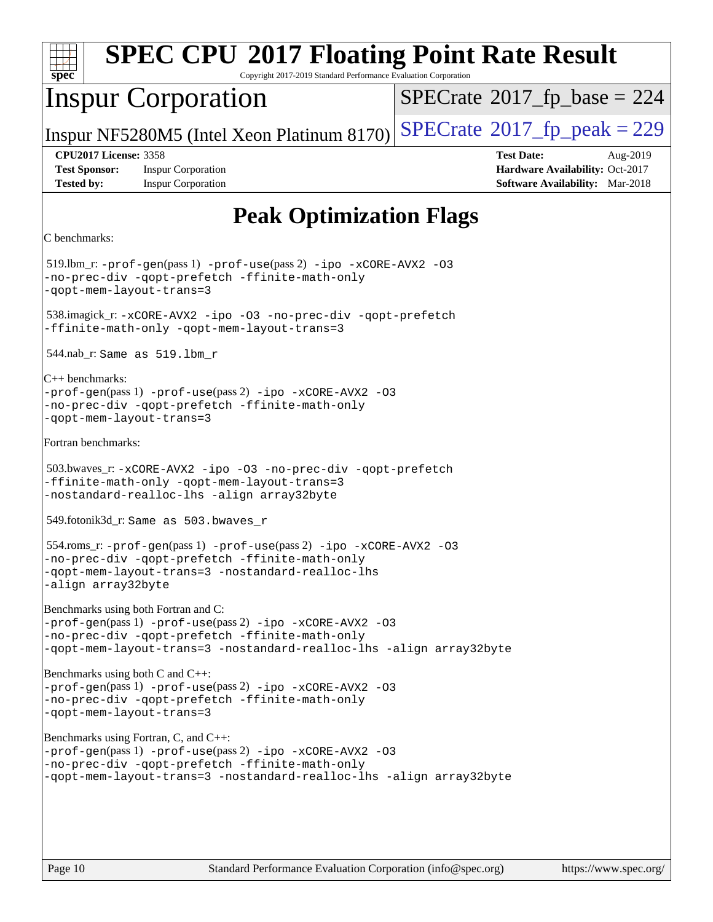| <b>SPEC CPU®2017 Floating Point Rate Result</b><br>Copyright 2017-2019 Standard Performance Evaluation Corporation<br>$spec^*$                                                                                             |                                                                                                            |
|----------------------------------------------------------------------------------------------------------------------------------------------------------------------------------------------------------------------------|------------------------------------------------------------------------------------------------------------|
| <b>Inspur Corporation</b>                                                                                                                                                                                                  | $SPECrate^{\circ}2017_fp\_base = 224$                                                                      |
| Inspur NF5280M5 (Intel Xeon Platinum 8170)                                                                                                                                                                                 | $SPECTate@2017_fp\_peak = 229$                                                                             |
| <b>CPU2017 License: 3358</b><br><b>Test Sponsor:</b><br><b>Inspur Corporation</b><br><b>Tested by:</b><br><b>Inspur Corporation</b>                                                                                        | <b>Test Date:</b><br>Aug-2019<br>Hardware Availability: Oct-2017<br><b>Software Availability:</b> Mar-2018 |
| <b>Peak Optimization Flags</b>                                                                                                                                                                                             |                                                                                                            |
| C benchmarks:                                                                                                                                                                                                              |                                                                                                            |
| $519$ .lbm_r: -prof-gen(pass 1) -prof-use(pass 2) -ipo -xCORE-AVX2 -03<br>-no-prec-div -qopt-prefetch -ffinite-math-only<br>-qopt-mem-layout-trans=3                                                                       |                                                                                                            |
| 538.imagick_r: -xCORE-AVX2 -ipo -03 -no-prec-div -qopt-prefetch<br>-ffinite-math-only -qopt-mem-layout-trans=3                                                                                                             |                                                                                                            |
| 544.nab_r: Same as $519.1$ bm_r                                                                                                                                                                                            |                                                                                                            |
| $ C_{++}$ benchmarks:<br>$-prof-gen(pass 1) -prof-use(pass 2) -ipo -xCORE-AVX2 -O3$<br>-no-prec-div -qopt-prefetch -ffinite-math-only<br>-qopt-mem-layout-trans=3                                                          |                                                                                                            |
| Fortran benchmarks:                                                                                                                                                                                                        |                                                                                                            |
| 503.bwaves_r:-xCORE-AVX2 -ipo -03 -no-prec-div -qopt-prefetch<br>-ffinite-math-only -qopt-mem-layout-trans=3<br>-nostandard-realloc-lhs -align array32byte                                                                 |                                                                                                            |
| 549.fotonik3d_r: Same as 503.bwaves_r                                                                                                                                                                                      |                                                                                                            |
| 554.roms_r: -prof-gen(pass 1) -prof-use(pass 2) -ipo -xCORE-AVX2 -03<br>-no-prec-div -qopt-prefetch -ffinite-math-only<br>-qopt-mem-layout-trans=3 -nostandard-realloc-lhs<br>-align array32byte                           |                                                                                                            |
| Benchmarks using both Fortran and C:<br>-prof-gen(pass 1) -prof-use(pass 2) -ipo -xCORE-AVX2 -03<br>-no-prec-div -qopt-prefetch -ffinite-math-only<br>-qopt-mem-layout-trans=3 -nostandard-realloc-lhs -align array32byte  |                                                                                                            |
| Benchmarks using both C and C++:<br>$-prof-qen(pass 1) -prof-use(pass 2) -ipo -xCORE-AVX2 -03$<br>-no-prec-div -qopt-prefetch -ffinite-math-only<br>-qopt-mem-layout-trans=3                                               |                                                                                                            |
| Benchmarks using Fortran, C, and C++:<br>-prof-gen(pass 1) -prof-use(pass 2) -ipo -xCORE-AVX2 -03<br>-no-prec-div -qopt-prefetch -ffinite-math-only<br>-qopt-mem-layout-trans=3 -nostandard-realloc-lhs -align array32byte |                                                                                                            |
|                                                                                                                                                                                                                            |                                                                                                            |